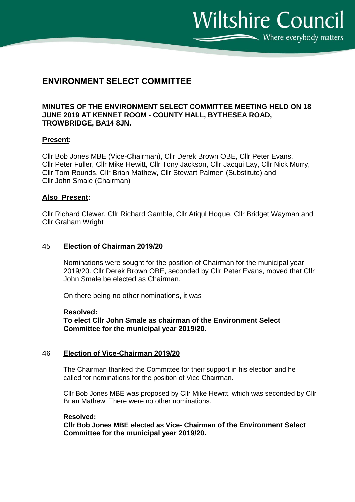Where everybody matters

**Wiltshire Council** 

# **ENVIRONMENT SELECT COMMITTEE**

### **MINUTES OF THE ENVIRONMENT SELECT COMMITTEE MEETING HELD ON 18 JUNE 2019 AT KENNET ROOM - COUNTY HALL, BYTHESEA ROAD, TROWBRIDGE, BA14 8JN.**

### **Present:**

Cllr Bob Jones MBE (Vice-Chairman), Cllr Derek Brown OBE, Cllr Peter Evans, Cllr Peter Fuller, Cllr Mike Hewitt, Cllr Tony Jackson, Cllr Jacqui Lay, Cllr Nick Murry, Cllr Tom Rounds, Cllr Brian Mathew, Cllr Stewart Palmen (Substitute) and Cllr John Smale (Chairman)

### **Also Present:**

Cllr Richard Clewer, Cllr Richard Gamble, Cllr Atiqul Hoque, Cllr Bridget Wayman and Cllr Graham Wright

### 45 **Election of Chairman 2019/20**

Nominations were sought for the position of Chairman for the municipal year 2019/20. Cllr Derek Brown OBE, seconded by Cllr Peter Evans, moved that Cllr John Smale be elected as Chairman.

On there being no other nominations, it was

### **Resolved:**

**To elect Cllr John Smale as chairman of the Environment Select Committee for the municipal year 2019/20.**

### 46 **Election of Vice-Chairman 2019/20**

The Chairman thanked the Committee for their support in his election and he called for nominations for the position of Vice Chairman.

Cllr Bob Jones MBE was proposed by Cllr Mike Hewitt, which was seconded by Cllr Brian Mathew. There were no other nominations.

#### **Resolved:**

**Cllr Bob Jones MBE elected as Vice- Chairman of the Environment Select Committee for the municipal year 2019/20.**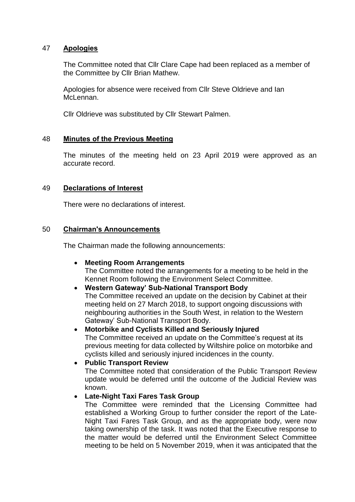### 47 **Apologies**

The Committee noted that Cllr Clare Cape had been replaced as a member of the Committee by Cllr Brian Mathew.

Apologies for absence were received from Cllr Steve Oldrieve and Ian McLennan.

Cllr Oldrieve was substituted by Cllr Stewart Palmen.

### 48 **Minutes of the Previous Meeting**

The minutes of the meeting held on 23 April 2019 were approved as an accurate record.

## 49 **Declarations of Interest**

There were no declarations of interest.

### 50 **Chairman's Announcements**

The Chairman made the following announcements:

### **Meeting Room Arrangements**

The Committee noted the arrangements for a meeting to be held in the Kennet Room following the Environment Select Committee.

## **Western Gateway' Sub-National Transport Body**

The Committee received an update on the decision by Cabinet at their meeting held on 27 March 2018, to support ongoing discussions with neighbouring authorities in the South West, in relation to the Western Gateway' Sub-National Transport Body.

## **Motorbike and Cyclists Killed and Seriously Injured**

The Committee received an update on the Committee's request at its previous meeting for data collected by Wiltshire police on motorbike and cyclists killed and seriously injured incidences in the county.

# **Public Transport Review**

The Committee noted that consideration of the Public Transport Review update would be deferred until the outcome of the Judicial Review was known.

### **Late-Night Taxi Fares Task Group**

The Committee were reminded that the Licensing Committee had established a Working Group to further consider the report of the Late-Night Taxi Fares Task Group, and as the appropriate body, were now taking ownership of the task. It was noted that the Executive response to the matter would be deferred until the Environment Select Committee meeting to be held on 5 November 2019, when it was anticipated that the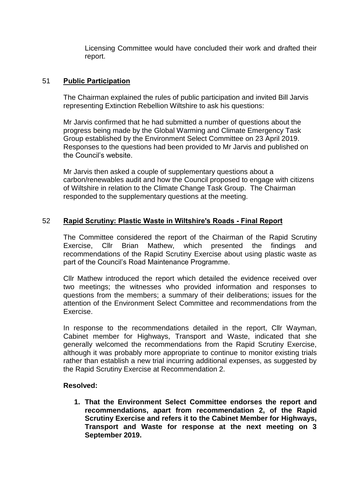Licensing Committee would have concluded their work and drafted their report.

## 51 **Public Participation**

The Chairman explained the rules of public participation and invited Bill Jarvis representing Extinction Rebellion Wiltshire to ask his questions:

Mr Jarvis confirmed that he had submitted a number of questions about the progress being made by the Global Warming and Climate Emergency Task Group established by the Environment Select Committee on 23 April 2019. Responses to the questions had been provided to Mr Jarvis and published on the Council's website.

Mr Jarvis then asked a couple of supplementary questions about a carbon/renewables audit and how the Council proposed to engage with citizens of Wiltshire in relation to the Climate Change Task Group. The Chairman responded to the supplementary questions at the meeting.

## 52 **Rapid Scrutiny: Plastic Waste in Wiltshire's Roads - Final Report**

The Committee considered the report of the Chairman of the Rapid Scrutiny Exercise, Cllr Brian Mathew, which presented the findings and recommendations of the Rapid Scrutiny Exercise about using plastic waste as part of the Council's Road Maintenance Programme.

Cllr Mathew introduced the report which detailed the evidence received over two meetings; the witnesses who provided information and responses to questions from the members; a summary of their deliberations; issues for the attention of the Environment Select Committee and recommendations from the Exercise.

In response to the recommendations detailed in the report, Cllr Wayman, Cabinet member for Highways, Transport and Waste, indicated that she generally welcomed the recommendations from the Rapid Scrutiny Exercise, although it was probably more appropriate to continue to monitor existing trials rather than establish a new trial incurring additional expenses, as suggested by the Rapid Scrutiny Exercise at Recommendation 2.

### **Resolved:**

**1. That the Environment Select Committee endorses the report and recommendations, apart from recommendation 2, of the Rapid Scrutiny Exercise and refers it to the Cabinet Member for Highways, Transport and Waste for response at the next meeting on 3 September 2019.**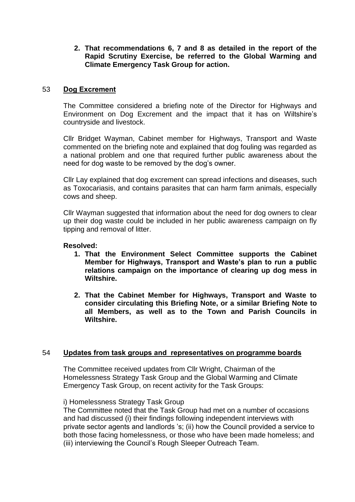**2. That recommendations 6, 7 and 8 as detailed in the report of the Rapid Scrutiny Exercise, be referred to the Global Warming and Climate Emergency Task Group for action.**

### 53 **Dog Excrement**

The Committee considered a briefing note of the Director for Highways and Environment on Dog Excrement and the impact that it has on Wiltshire's countryside and livestock.

Cllr Bridget Wayman, Cabinet member for Highways, Transport and Waste commented on the briefing note and explained that dog fouling was regarded as a national problem and one that required further public awareness about the need for dog waste to be removed by the dog's owner.

Cllr Lay explained that dog excrement can spread infections and diseases, such as Toxocariasis, and contains parasites that can harm farm animals, especially cows and sheep.

Cllr Wayman suggested that information about the need for dog owners to clear up their dog waste could be included in her public awareness campaign on fly tipping and removal of litter.

### **Resolved:**

- **1. That the Environment Select Committee supports the Cabinet Member for Highways, Transport and Waste's plan to run a public relations campaign on the importance of clearing up dog mess in Wiltshire.**
- **2. That the Cabinet Member for Highways, Transport and Waste to consider circulating this Briefing Note, or a similar Briefing Note to all Members, as well as to the Town and Parish Councils in Wiltshire.**

### 54 **Updates from task groups and representatives on programme boards**

The Committee received updates from Cllr Wright, Chairman of the Homelessness Strategy Task Group and the Global Warming and Climate Emergency Task Group, on recent activity for the Task Groups:

### i) Homelessness Strategy Task Group

The Committee noted that the Task Group had met on a number of occasions and had discussed (i) their findings following independent interviews with private sector agents and landlords 's; (ii) how the Council provided a service to both those facing homelessness, or those who have been made homeless; and (iii) interviewing the Council's Rough Sleeper Outreach Team.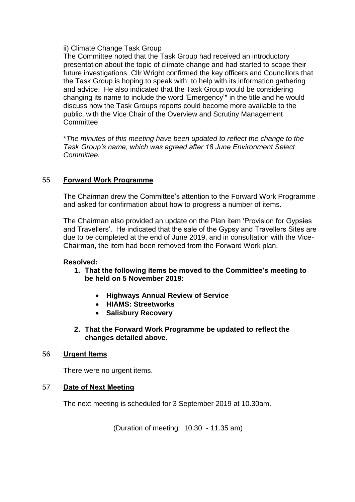### ii) Climate Change Task Group

The Committee noted that the Task Group had received an introductory presentation about the topic of climate change and had started to scope their future investigations. Cllr Wright confirmed the key officers and Councillors that the Task Group is hoping to speak with; to help with its information gathering and advice. He also indicated that the Task Group would be considering changing its name to include the word 'Emergency'\* in the title and he would discuss how the Task Groups reports could become more available to the public, with the Vice Chair of the Overview and Scrutiny Management **Committee** 

\**The minutes of this meeting have been updated to reflect the change to the Task Group's name, which was agreed after 18 June Environment Select Committee.*

### 55 **Forward Work Programme**

The Chairman drew the Committee's attention to the Forward Work Programme and asked for confirmation about how to progress a number of items.

The Chairman also provided an update on the Plan item 'Provision for Gypsies and Travellers'. He indicated that the sale of the Gypsy and Travellers Sites are due to be completed at the end of June 2019, and in consultation with the Vice-Chairman, the item had been removed from the Forward Work plan.

### **Resolved:**

- **1. That the following items be moved to the Committee's meeting to be held on 5 November 2019:**
	- **Highways Annual Review of Service**
	- **HIAMS: Streetworks**
	- **Salisbury Recovery**
- **2. That the Forward Work Programme be updated to reflect the changes detailed above.**

### 56 **Urgent Items**

There were no urgent items.

### 57 **Date of Next Meeting**

The next meeting is scheduled for 3 September 2019 at 10.30am.

(Duration of meeting: 10.30 - 11.35 am)